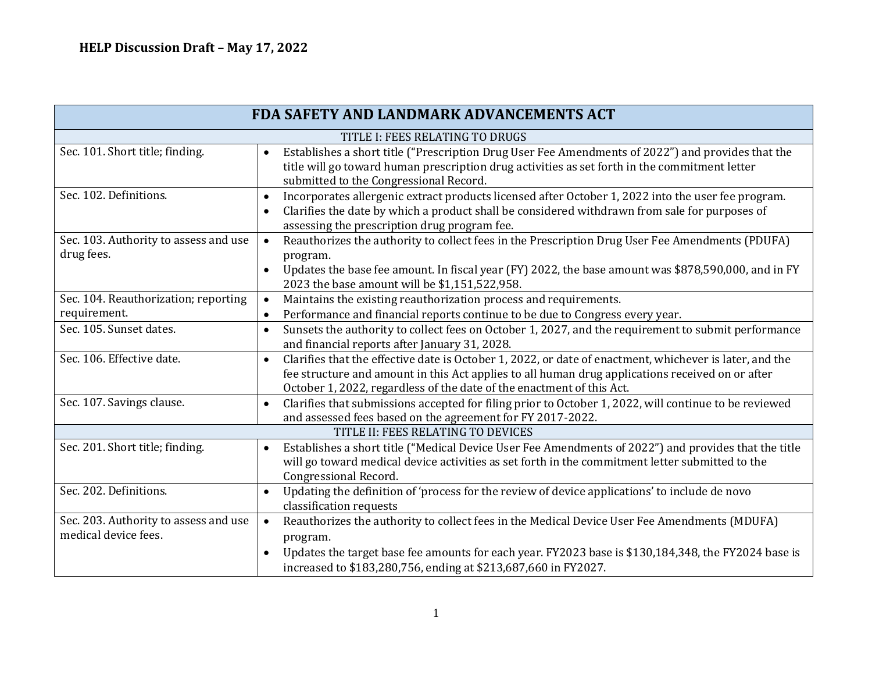| FDA SAFETY AND LANDMARK ADVANCEMENTS ACT                      |                                                                                                                                                                                                                                                                                                   |
|---------------------------------------------------------------|---------------------------------------------------------------------------------------------------------------------------------------------------------------------------------------------------------------------------------------------------------------------------------------------------|
|                                                               | TITLE I: FEES RELATING TO DRUGS                                                                                                                                                                                                                                                                   |
| Sec. 101. Short title; finding.                               | Establishes a short title ("Prescription Drug User Fee Amendments of 2022") and provides that the<br>$\bullet$<br>title will go toward human prescription drug activities as set forth in the commitment letter<br>submitted to the Congressional Record.                                         |
| Sec. 102. Definitions.                                        | Incorporates allergenic extract products licensed after October 1, 2022 into the user fee program.<br>$\bullet$<br>Clarifies the date by which a product shall be considered withdrawn from sale for purposes of<br>assessing the prescription drug program fee.                                  |
| Sec. 103. Authority to assess and use<br>drug fees.           | Reauthorizes the authority to collect fees in the Prescription Drug User Fee Amendments (PDUFA)<br>$\bullet$<br>program.                                                                                                                                                                          |
|                                                               | Updates the base fee amount. In fiscal year (FY) 2022, the base amount was \$878,590,000, and in FY<br>$\bullet$<br>2023 the base amount will be \$1,151,522,958.                                                                                                                                 |
| Sec. 104. Reauthorization; reporting                          | Maintains the existing reauthorization process and requirements.                                                                                                                                                                                                                                  |
| requirement.                                                  | Performance and financial reports continue to be due to Congress every year.<br>$\bullet$                                                                                                                                                                                                         |
| Sec. 105. Sunset dates.                                       | Sunsets the authority to collect fees on October 1, 2027, and the requirement to submit performance<br>$\bullet$<br>and financial reports after January 31, 2028.                                                                                                                                 |
| Sec. 106. Effective date.                                     | Clarifies that the effective date is October 1, 2022, or date of enactment, whichever is later, and the<br>$\bullet$<br>fee structure and amount in this Act applies to all human drug applications received on or after<br>October 1, 2022, regardless of the date of the enactment of this Act. |
| Sec. 107. Savings clause.                                     | Clarifies that submissions accepted for filing prior to October 1, 2022, will continue to be reviewed<br>$\bullet$<br>and assessed fees based on the agreement for FY 2017-2022.                                                                                                                  |
|                                                               | TITLE II: FEES RELATING TO DEVICES                                                                                                                                                                                                                                                                |
| Sec. 201. Short title; finding.                               | Establishes a short title ("Medical Device User Fee Amendments of 2022") and provides that the title<br>$\bullet$<br>will go toward medical device activities as set forth in the commitment letter submitted to the<br>Congressional Record.                                                     |
| Sec. 202. Definitions.                                        | Updating the definition of 'process for the review of device applications' to include de novo<br>$\bullet$<br>classification requests                                                                                                                                                             |
| Sec. 203. Authority to assess and use<br>medical device fees. | Reauthorizes the authority to collect fees in the Medical Device User Fee Amendments (MDUFA)<br>$\bullet$<br>program.                                                                                                                                                                             |
|                                                               | Updates the target base fee amounts for each year. FY2023 base is \$130,184,348, the FY2024 base is<br>increased to \$183,280,756, ending at \$213,687,660 in FY2027.                                                                                                                             |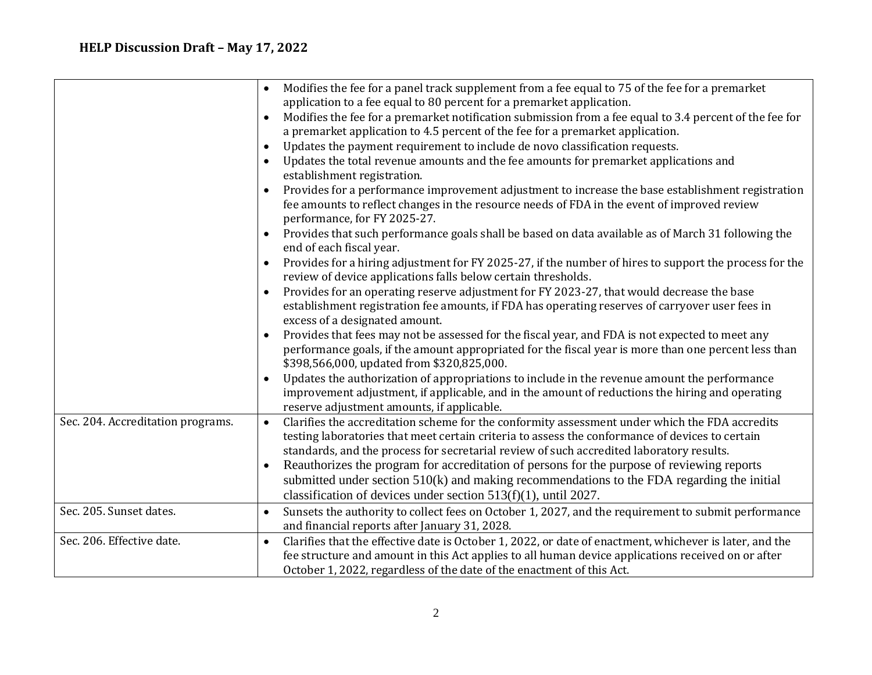|                                   | Modifies the fee for a panel track supplement from a fee equal to 75 of the fee for a premarket<br>application to a fee equal to 80 percent for a premarket application.                                                                                                                                   |
|-----------------------------------|------------------------------------------------------------------------------------------------------------------------------------------------------------------------------------------------------------------------------------------------------------------------------------------------------------|
|                                   | Modifies the fee for a premarket notification submission from a fee equal to 3.4 percent of the fee for<br>$\bullet$                                                                                                                                                                                       |
|                                   | a premarket application to 4.5 percent of the fee for a premarket application.                                                                                                                                                                                                                             |
|                                   |                                                                                                                                                                                                                                                                                                            |
|                                   | Updates the payment requirement to include de novo classification requests.                                                                                                                                                                                                                                |
|                                   | Updates the total revenue amounts and the fee amounts for premarket applications and<br>establishment registration.                                                                                                                                                                                        |
|                                   | Provides for a performance improvement adjustment to increase the base establishment registration<br>fee amounts to reflect changes in the resource needs of FDA in the event of improved review<br>performance, for FY 2025-27.                                                                           |
|                                   | Provides that such performance goals shall be based on data available as of March 31 following the<br>end of each fiscal year.                                                                                                                                                                             |
|                                   | Provides for a hiring adjustment for FY 2025-27, if the number of hires to support the process for the<br>$\bullet$<br>review of device applications falls below certain thresholds.                                                                                                                       |
|                                   | Provides for an operating reserve adjustment for FY 2023-27, that would decrease the base<br>establishment registration fee amounts, if FDA has operating reserves of carryover user fees in<br>excess of a designated amount.                                                                             |
|                                   | Provides that fees may not be assessed for the fiscal year, and FDA is not expected to meet any<br>performance goals, if the amount appropriated for the fiscal year is more than one percent less than<br>\$398,566,000, updated from \$320,825,000.                                                      |
|                                   | Updates the authorization of appropriations to include in the revenue amount the performance<br>improvement adjustment, if applicable, and in the amount of reductions the hiring and operating<br>reserve adjustment amounts, if applicable.                                                              |
| Sec. 204. Accreditation programs. | Clarifies the accreditation scheme for the conformity assessment under which the FDA accredits<br>$\bullet$<br>testing laboratories that meet certain criteria to assess the conformance of devices to certain<br>standards, and the process for secretarial review of such accredited laboratory results. |
|                                   | Reauthorizes the program for accreditation of persons for the purpose of reviewing reports                                                                                                                                                                                                                 |
|                                   | submitted under section 510(k) and making recommendations to the FDA regarding the initial                                                                                                                                                                                                                 |
|                                   | classification of devices under section $513(f)(1)$ , until 2027.                                                                                                                                                                                                                                          |
| Sec. 205. Sunset dates.           | Sunsets the authority to collect fees on October 1, 2027, and the requirement to submit performance<br>$\bullet$                                                                                                                                                                                           |
|                                   | and financial reports after January 31, 2028.                                                                                                                                                                                                                                                              |
| Sec. 206. Effective date.         | Clarifies that the effective date is October 1, 2022, or date of enactment, whichever is later, and the<br>$\bullet$                                                                                                                                                                                       |
|                                   | fee structure and amount in this Act applies to all human device applications received on or after                                                                                                                                                                                                         |
|                                   | October 1, 2022, regardless of the date of the enactment of this Act.                                                                                                                                                                                                                                      |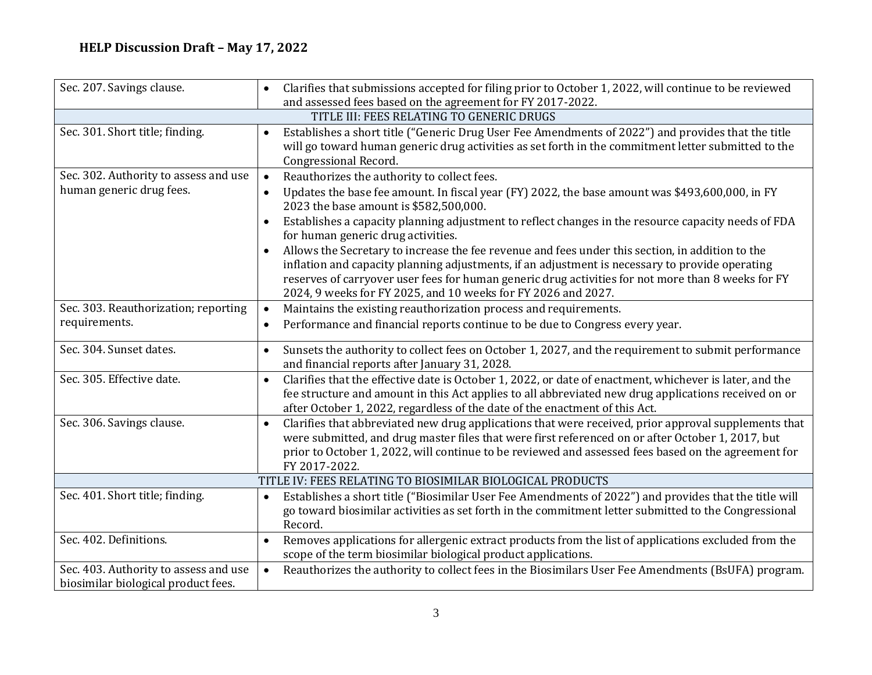| Sec. 207. Savings clause.                                                    | Clarifies that submissions accepted for filing prior to October 1, 2022, will continue to be reviewed<br>and assessed fees based on the agreement for FY 2017-2022.                                                                                                                                                                                                                                                                                                                                                                                                                                                                                                                                                                           |  |
|------------------------------------------------------------------------------|-----------------------------------------------------------------------------------------------------------------------------------------------------------------------------------------------------------------------------------------------------------------------------------------------------------------------------------------------------------------------------------------------------------------------------------------------------------------------------------------------------------------------------------------------------------------------------------------------------------------------------------------------------------------------------------------------------------------------------------------------|--|
| TITLE III: FEES RELATING TO GENERIC DRUGS                                    |                                                                                                                                                                                                                                                                                                                                                                                                                                                                                                                                                                                                                                                                                                                                               |  |
| Sec. 301. Short title; finding.                                              | Establishes a short title ("Generic Drug User Fee Amendments of 2022") and provides that the title<br>$\bullet$<br>will go toward human generic drug activities as set forth in the commitment letter submitted to the<br>Congressional Record.                                                                                                                                                                                                                                                                                                                                                                                                                                                                                               |  |
| Sec. 302. Authority to assess and use<br>human generic drug fees.            | Reauthorizes the authority to collect fees.<br>$\bullet$<br>Updates the base fee amount. In fiscal year (FY) 2022, the base amount was \$493,600,000, in FY<br>$\bullet$<br>2023 the base amount is \$582,500,000.<br>Establishes a capacity planning adjustment to reflect changes in the resource capacity needs of FDA<br>for human generic drug activities.<br>Allows the Secretary to increase the fee revenue and fees under this section, in addition to the<br>inflation and capacity planning adjustments, if an adjustment is necessary to provide operating<br>reserves of carryover user fees for human generic drug activities for not more than 8 weeks for FY<br>2024, 9 weeks for FY 2025, and 10 weeks for FY 2026 and 2027. |  |
| Sec. 303. Reauthorization; reporting                                         | Maintains the existing reauthorization process and requirements.<br>$\bullet$                                                                                                                                                                                                                                                                                                                                                                                                                                                                                                                                                                                                                                                                 |  |
| requirements.                                                                | Performance and financial reports continue to be due to Congress every year.<br>$\bullet$                                                                                                                                                                                                                                                                                                                                                                                                                                                                                                                                                                                                                                                     |  |
| Sec. 304. Sunset dates.                                                      | Sunsets the authority to collect fees on October 1, 2027, and the requirement to submit performance<br>$\bullet$<br>and financial reports after January 31, 2028.                                                                                                                                                                                                                                                                                                                                                                                                                                                                                                                                                                             |  |
| Sec. 305. Effective date.                                                    | Clarifies that the effective date is October 1, 2022, or date of enactment, whichever is later, and the<br>$\bullet$<br>fee structure and amount in this Act applies to all abbreviated new drug applications received on or<br>after October 1, 2022, regardless of the date of the enactment of this Act.                                                                                                                                                                                                                                                                                                                                                                                                                                   |  |
| Sec. 306. Savings clause.                                                    | Clarifies that abbreviated new drug applications that were received, prior approval supplements that<br>$\bullet$<br>were submitted, and drug master files that were first referenced on or after October 1, 2017, but<br>prior to October 1, 2022, will continue to be reviewed and assessed fees based on the agreement for<br>FY 2017-2022.                                                                                                                                                                                                                                                                                                                                                                                                |  |
|                                                                              | TITLE IV: FEES RELATING TO BIOSIMILAR BIOLOGICAL PRODUCTS                                                                                                                                                                                                                                                                                                                                                                                                                                                                                                                                                                                                                                                                                     |  |
| Sec. 401. Short title; finding.                                              | Establishes a short title ("Biosimilar User Fee Amendments of 2022") and provides that the title will<br>$\bullet$<br>go toward biosimilar activities as set forth in the commitment letter submitted to the Congressional<br>Record.                                                                                                                                                                                                                                                                                                                                                                                                                                                                                                         |  |
| Sec. 402. Definitions.                                                       | Removes applications for allergenic extract products from the list of applications excluded from the<br>$\bullet$<br>scope of the term biosimilar biological product applications.                                                                                                                                                                                                                                                                                                                                                                                                                                                                                                                                                            |  |
| Sec. 403. Authority to assess and use<br>biosimilar biological product fees. | Reauthorizes the authority to collect fees in the Biosimilars User Fee Amendments (BsUFA) program.<br>$\bullet$                                                                                                                                                                                                                                                                                                                                                                                                                                                                                                                                                                                                                               |  |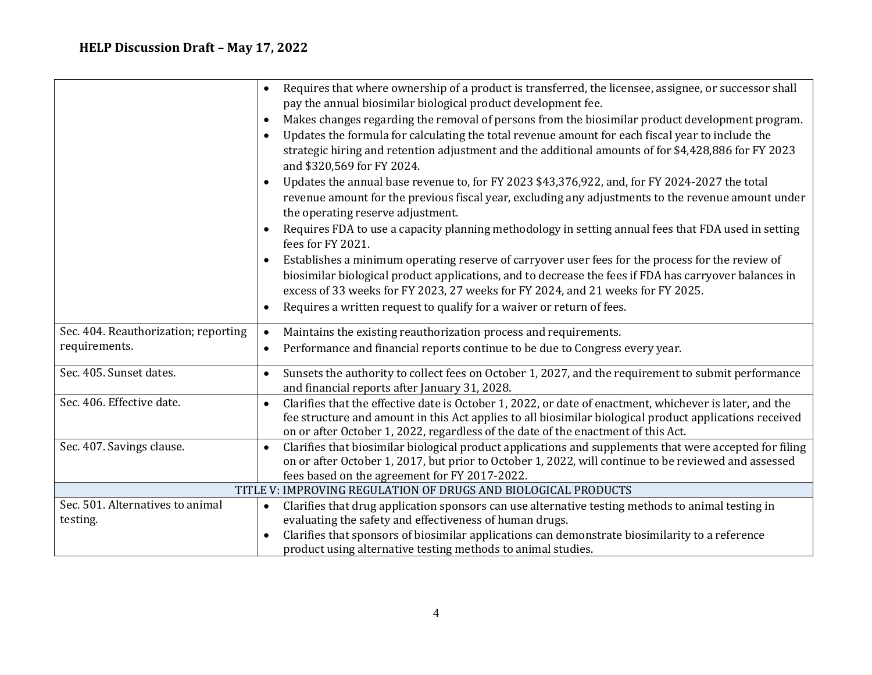|                                      | Requires that where ownership of a product is transferred, the licensee, assignee, or successor shall<br>$\bullet$<br>pay the annual biosimilar biological product development fee. |
|--------------------------------------|-------------------------------------------------------------------------------------------------------------------------------------------------------------------------------------|
|                                      |                                                                                                                                                                                     |
|                                      | Makes changes regarding the removal of persons from the biosimilar product development program.<br>$\bullet$                                                                        |
|                                      | Updates the formula for calculating the total revenue amount for each fiscal year to include the                                                                                    |
|                                      | strategic hiring and retention adjustment and the additional amounts of for \$4,428,886 for FY 2023<br>and \$320,569 for FY 2024.                                                   |
|                                      | Updates the annual base revenue to, for FY 2023 \$43,376,922, and, for FY 2024-2027 the total                                                                                       |
|                                      | revenue amount for the previous fiscal year, excluding any adjustments to the revenue amount under<br>the operating reserve adjustment.                                             |
|                                      | Requires FDA to use a capacity planning methodology in setting annual fees that FDA used in setting<br>fees for FY 2021.                                                            |
|                                      | Establishes a minimum operating reserve of carryover user fees for the process for the review of                                                                                    |
|                                      | biosimilar biological product applications, and to decrease the fees if FDA has carryover balances in                                                                               |
|                                      | excess of 33 weeks for FY 2023, 27 weeks for FY 2024, and 21 weeks for FY 2025.                                                                                                     |
|                                      | Requires a written request to qualify for a waiver or return of fees.                                                                                                               |
|                                      |                                                                                                                                                                                     |
| Sec. 404. Reauthorization; reporting | Maintains the existing reauthorization process and requirements.<br>$\bullet$                                                                                                       |
| requirements.                        | Performance and financial reports continue to be due to Congress every year.<br>$\bullet$                                                                                           |
| Sec. 405. Sunset dates.              | Sunsets the authority to collect fees on October 1, 2027, and the requirement to submit performance<br>$\bullet$<br>and financial reports after January 31, 2028.                   |
| Sec. 406. Effective date.            | Clarifies that the effective date is October 1, 2022, or date of enactment, whichever is later, and the                                                                             |
|                                      | $\bullet$<br>fee structure and amount in this Act applies to all biosimilar biological product applications received                                                                |
|                                      | on or after October 1, 2022, regardless of the date of the enactment of this Act.                                                                                                   |
| Sec. 407. Savings clause.            |                                                                                                                                                                                     |
|                                      | Clarifies that biosimilar biological product applications and supplements that were accepted for filing<br>$\bullet$                                                                |
|                                      | on or after October 1, 2017, but prior to October 1, 2022, will continue to be reviewed and assessed                                                                                |
|                                      | fees based on the agreement for FY 2017-2022.<br>TITLE V: IMPROVING REGULATION OF DRUGS AND BIOLOGICAL PRODUCTS                                                                     |
| Sec. 501. Alternatives to animal     |                                                                                                                                                                                     |
|                                      | Clarifies that drug application sponsors can use alternative testing methods to animal testing in<br>$\bullet$                                                                      |
| testing.                             | evaluating the safety and effectiveness of human drugs.                                                                                                                             |
|                                      | Clarifies that sponsors of biosimilar applications can demonstrate biosimilarity to a reference                                                                                     |
|                                      | product using alternative testing methods to animal studies.                                                                                                                        |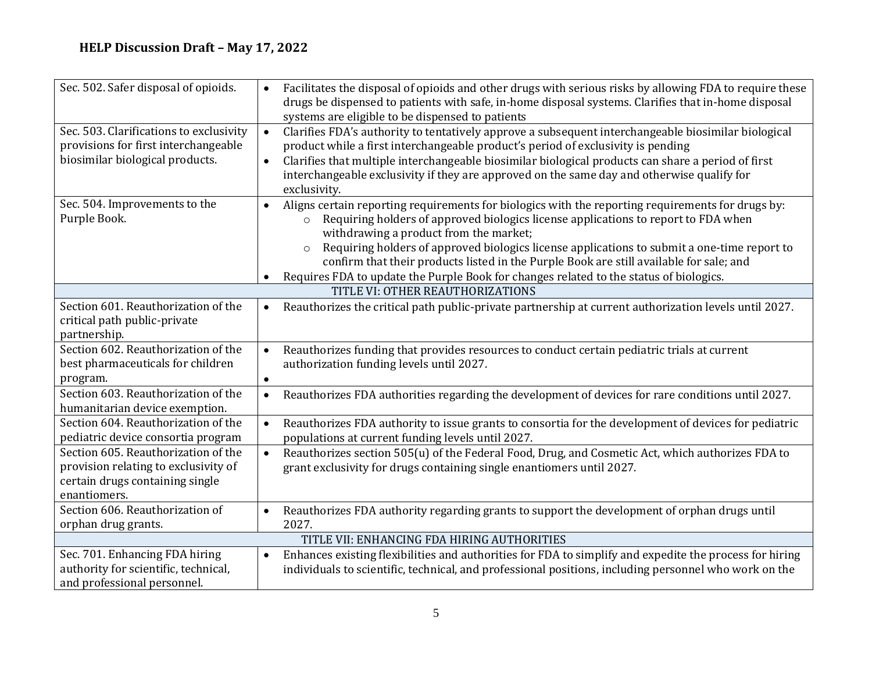| Sec. 502. Safer disposal of opioids.                                                                                           | Facilitates the disposal of opioids and other drugs with serious risks by allowing FDA to require these<br>$\bullet$<br>drugs be dispensed to patients with safe, in-home disposal systems. Clarifies that in-home disposal<br>systems are eligible to be dispensed to patients                                                                                                                                                                                                                                                                          |
|--------------------------------------------------------------------------------------------------------------------------------|----------------------------------------------------------------------------------------------------------------------------------------------------------------------------------------------------------------------------------------------------------------------------------------------------------------------------------------------------------------------------------------------------------------------------------------------------------------------------------------------------------------------------------------------------------|
| Sec. 503. Clarifications to exclusivity<br>provisions for first interchangeable<br>biosimilar biological products.             | Clarifies FDA's authority to tentatively approve a subsequent interchangeable biosimilar biological<br>$\bullet$<br>product while a first interchangeable product's period of exclusivity is pending<br>Clarifies that multiple interchangeable biosimilar biological products can share a period of first<br>$\bullet$<br>interchangeable exclusivity if they are approved on the same day and otherwise qualify for<br>exclusivity.                                                                                                                    |
| Sec. 504. Improvements to the<br>Purple Book.                                                                                  | Aligns certain reporting requirements for biologics with the reporting requirements for drugs by:<br>$\bullet$<br>Requiring holders of approved biologics license applications to report to FDA when<br>$\circ$<br>withdrawing a product from the market;<br>Requiring holders of approved biologics license applications to submit a one-time report to<br>$\circ$<br>confirm that their products listed in the Purple Book are still available for sale; and<br>Requires FDA to update the Purple Book for changes related to the status of biologics. |
|                                                                                                                                | TITLE VI: OTHER REAUTHORIZATIONS                                                                                                                                                                                                                                                                                                                                                                                                                                                                                                                         |
| Section 601. Reauthorization of the<br>critical path public-private<br>partnership.                                            | Reauthorizes the critical path public-private partnership at current authorization levels until 2027.<br>$\bullet$                                                                                                                                                                                                                                                                                                                                                                                                                                       |
| Section 602. Reauthorization of the<br>best pharmaceuticals for children<br>program.                                           | Reauthorizes funding that provides resources to conduct certain pediatric trials at current<br>$\bullet$<br>authorization funding levels until 2027.<br>$\bullet$                                                                                                                                                                                                                                                                                                                                                                                        |
| Section 603. Reauthorization of the<br>humanitarian device exemption.                                                          | Reauthorizes FDA authorities regarding the development of devices for rare conditions until 2027.<br>$\bullet$                                                                                                                                                                                                                                                                                                                                                                                                                                           |
| Section 604. Reauthorization of the<br>pediatric device consortia program                                                      | Reauthorizes FDA authority to issue grants to consortia for the development of devices for pediatric<br>$\bullet$<br>populations at current funding levels until 2027.                                                                                                                                                                                                                                                                                                                                                                                   |
| Section 605. Reauthorization of the<br>provision relating to exclusivity of<br>certain drugs containing single<br>enantiomers. | Reauthorizes section 505(u) of the Federal Food, Drug, and Cosmetic Act, which authorizes FDA to<br>$\bullet$<br>grant exclusivity for drugs containing single enantiomers until 2027.                                                                                                                                                                                                                                                                                                                                                                   |
| Section 606. Reauthorization of<br>orphan drug grants.                                                                         | Reauthorizes FDA authority regarding grants to support the development of orphan drugs until<br>2027.                                                                                                                                                                                                                                                                                                                                                                                                                                                    |
|                                                                                                                                | TITLE VII: ENHANCING FDA HIRING AUTHORITIES                                                                                                                                                                                                                                                                                                                                                                                                                                                                                                              |
| Sec. 701. Enhancing FDA hiring<br>authority for scientific, technical,<br>and professional personnel.                          | Enhances existing flexibilities and authorities for FDA to simplify and expedite the process for hiring<br>$\bullet$<br>individuals to scientific, technical, and professional positions, including personnel who work on the                                                                                                                                                                                                                                                                                                                            |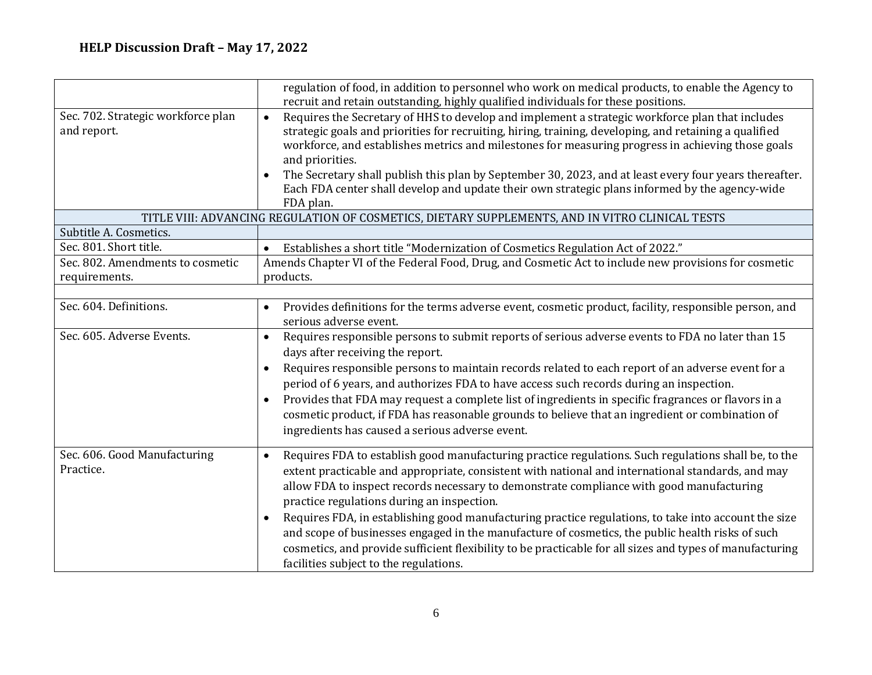|                                    | regulation of food, in addition to personnel who work on medical products, to enable the Agency to                 |
|------------------------------------|--------------------------------------------------------------------------------------------------------------------|
|                                    | recruit and retain outstanding, highly qualified individuals for these positions.                                  |
| Sec. 702. Strategic workforce plan | Requires the Secretary of HHS to develop and implement a strategic workforce plan that includes<br>$\bullet$       |
| and report.                        | strategic goals and priorities for recruiting, hiring, training, developing, and retaining a qualified             |
|                                    | workforce, and establishes metrics and milestones for measuring progress in achieving those goals                  |
|                                    | and priorities.                                                                                                    |
|                                    | The Secretary shall publish this plan by September 30, 2023, and at least every four years thereafter.             |
|                                    | Each FDA center shall develop and update their own strategic plans informed by the agency-wide                     |
|                                    | FDA plan.                                                                                                          |
|                                    | TITLE VIII: ADVANCING REGULATION OF COSMETICS, DIETARY SUPPLEMENTS, AND IN VITRO CLINICAL TESTS                    |
| Subtitle A. Cosmetics.             |                                                                                                                    |
| Sec. 801. Short title.             | Establishes a short title "Modernization of Cosmetics Regulation Act of 2022."<br>$\bullet$                        |
| Sec. 802. Amendments to cosmetic   | Amends Chapter VI of the Federal Food, Drug, and Cosmetic Act to include new provisions for cosmetic               |
| requirements.                      | products.                                                                                                          |
|                                    |                                                                                                                    |
| Sec. 604. Definitions.             | Provides definitions for the terms adverse event, cosmetic product, facility, responsible person, and<br>$\bullet$ |
|                                    | serious adverse event.                                                                                             |
| Sec. 605. Adverse Events.          | Requires responsible persons to submit reports of serious adverse events to FDA no later than 15<br>$\bullet$      |
|                                    | days after receiving the report.                                                                                   |
|                                    | Requires responsible persons to maintain records related to each report of an adverse event for a                  |
|                                    | period of 6 years, and authorizes FDA to have access such records during an inspection.                            |
|                                    | Provides that FDA may request a complete list of ingredients in specific fragrances or flavors in a                |
|                                    | cosmetic product, if FDA has reasonable grounds to believe that an ingredient or combination of                    |
|                                    | ingredients has caused a serious adverse event.                                                                    |
|                                    |                                                                                                                    |
| Sec. 606. Good Manufacturing       | Requires FDA to establish good manufacturing practice regulations. Such regulations shall be, to the               |
| Practice.                          | extent practicable and appropriate, consistent with national and international standards, and may                  |
|                                    | allow FDA to inspect records necessary to demonstrate compliance with good manufacturing                           |
|                                    | practice regulations during an inspection.                                                                         |
|                                    | Requires FDA, in establishing good manufacturing practice regulations, to take into account the size               |
|                                    | and scope of businesses engaged in the manufacture of cosmetics, the public health risks of such                   |
|                                    |                                                                                                                    |
|                                    | cosmetics, and provide sufficient flexibility to be practicable for all sizes and types of manufacturing           |
|                                    | facilities subject to the regulations.                                                                             |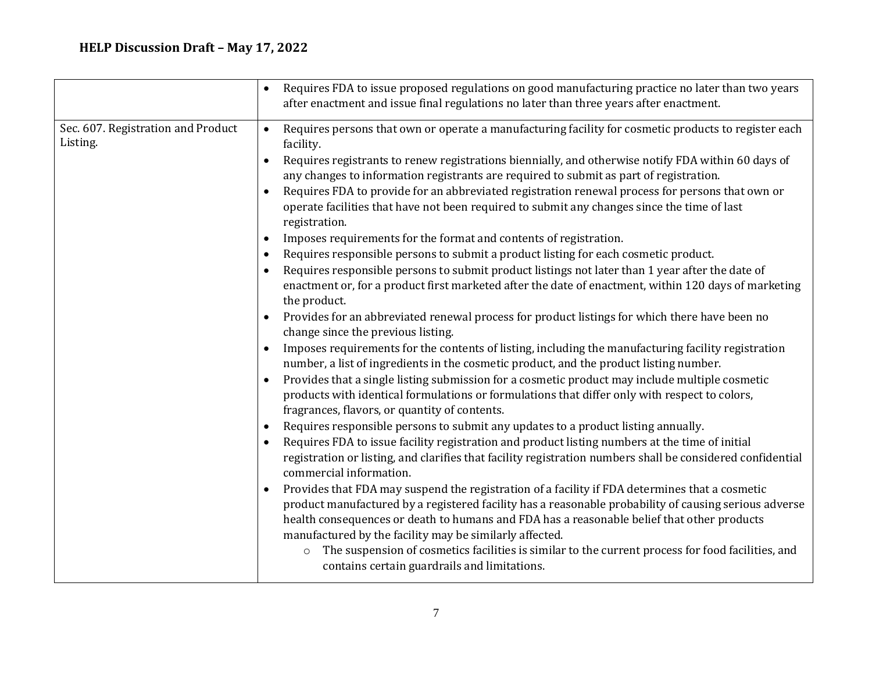|                                                | Requires FDA to issue proposed regulations on good manufacturing practice no later than two years<br>after enactment and issue final regulations no later than three years after enactment.                                                                                                                                                                                                                                                                                                                                                                                                                                                                                                                                                                                                                                                                                                                                                                                                                                                                                                                                                                                                                                                                                                                                                                                                                                                                                                                                                                                                                                                                                                                                                                                                                                                                                                                                                                                                                                                                                                                                                                                                                                                                                                                                                                                                              |
|------------------------------------------------|----------------------------------------------------------------------------------------------------------------------------------------------------------------------------------------------------------------------------------------------------------------------------------------------------------------------------------------------------------------------------------------------------------------------------------------------------------------------------------------------------------------------------------------------------------------------------------------------------------------------------------------------------------------------------------------------------------------------------------------------------------------------------------------------------------------------------------------------------------------------------------------------------------------------------------------------------------------------------------------------------------------------------------------------------------------------------------------------------------------------------------------------------------------------------------------------------------------------------------------------------------------------------------------------------------------------------------------------------------------------------------------------------------------------------------------------------------------------------------------------------------------------------------------------------------------------------------------------------------------------------------------------------------------------------------------------------------------------------------------------------------------------------------------------------------------------------------------------------------------------------------------------------------------------------------------------------------------------------------------------------------------------------------------------------------------------------------------------------------------------------------------------------------------------------------------------------------------------------------------------------------------------------------------------------------------------------------------------------------------------------------------------------------|
| Sec. 607. Registration and Product<br>Listing. | Requires persons that own or operate a manufacturing facility for cosmetic products to register each<br>$\bullet$<br>facility.<br>Requires registrants to renew registrations biennially, and otherwise notify FDA within 60 days of<br>any changes to information registrants are required to submit as part of registration.<br>Requires FDA to provide for an abbreviated registration renewal process for persons that own or<br>operate facilities that have not been required to submit any changes since the time of last<br>registration.<br>Imposes requirements for the format and contents of registration.<br>Requires responsible persons to submit a product listing for each cosmetic product.<br>Requires responsible persons to submit product listings not later than 1 year after the date of<br>enactment or, for a product first marketed after the date of enactment, within 120 days of marketing<br>the product.<br>Provides for an abbreviated renewal process for product listings for which there have been no<br>change since the previous listing.<br>Imposes requirements for the contents of listing, including the manufacturing facility registration<br>number, a list of ingredients in the cosmetic product, and the product listing number.<br>Provides that a single listing submission for a cosmetic product may include multiple cosmetic<br>products with identical formulations or formulations that differ only with respect to colors,<br>fragrances, flavors, or quantity of contents.<br>Requires responsible persons to submit any updates to a product listing annually.<br>Requires FDA to issue facility registration and product listing numbers at the time of initial<br>registration or listing, and clarifies that facility registration numbers shall be considered confidential<br>commercial information.<br>Provides that FDA may suspend the registration of a facility if FDA determines that a cosmetic<br>product manufactured by a registered facility has a reasonable probability of causing serious adverse<br>health consequences or death to humans and FDA has a reasonable belief that other products<br>manufactured by the facility may be similarly affected.<br>The suspension of cosmetics facilities is similar to the current process for food facilities, and<br>$\circ$<br>contains certain guardrails and limitations. |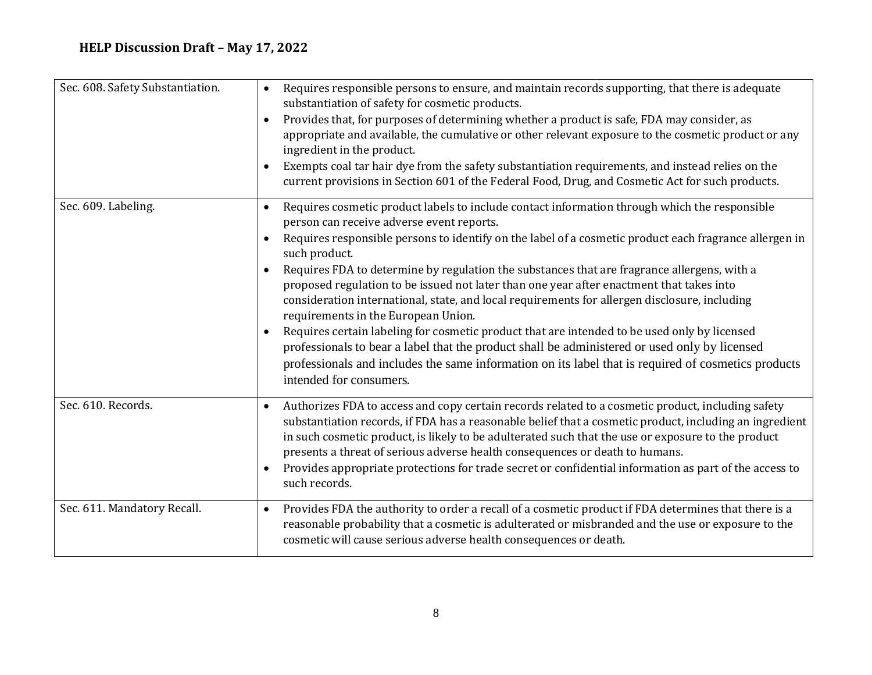| Sec. 608. Safety Substantiation. | Requires responsible persons to ensure, and maintain records supporting, that there is adequate<br>$\bullet$<br>substantiation of safety for cosmetic products.<br>Provides that, for purposes of determining whether a product is safe, FDA may consider, as<br>appropriate and available, the cumulative or other relevant exposure to the cosmetic product or any<br>ingredient in the product.<br>Exempts coal tar hair dye from the safety substantiation requirements, and instead relies on the<br>$\bullet$                                                                                                                                                |
|----------------------------------|--------------------------------------------------------------------------------------------------------------------------------------------------------------------------------------------------------------------------------------------------------------------------------------------------------------------------------------------------------------------------------------------------------------------------------------------------------------------------------------------------------------------------------------------------------------------------------------------------------------------------------------------------------------------|
|                                  | current provisions in Section 601 of the Federal Food, Drug, and Cosmetic Act for such products.                                                                                                                                                                                                                                                                                                                                                                                                                                                                                                                                                                   |
| Sec. 609. Labeling.              | Requires cosmetic product labels to include contact information through which the responsible<br>$\bullet$<br>person can receive adverse event reports.                                                                                                                                                                                                                                                                                                                                                                                                                                                                                                            |
|                                  | Requires responsible persons to identify on the label of a cosmetic product each fragrance allergen in<br>such product.                                                                                                                                                                                                                                                                                                                                                                                                                                                                                                                                            |
|                                  | Requires FDA to determine by regulation the substances that are fragrance allergens, with a<br>proposed regulation to be issued not later than one year after enactment that takes into<br>consideration international, state, and local requirements for allergen disclosure, including<br>requirements in the European Union.<br>Requires certain labeling for cosmetic product that are intended to be used only by licensed<br>professionals to bear a label that the product shall be administered or used only by licensed<br>professionals and includes the same information on its label that is required of cosmetics products<br>intended for consumers. |
| Sec. 610. Records.               | Authorizes FDA to access and copy certain records related to a cosmetic product, including safety<br>$\bullet$<br>substantiation records, if FDA has a reasonable belief that a cosmetic product, including an ingredient<br>in such cosmetic product, is likely to be adulterated such that the use or exposure to the product<br>presents a threat of serious adverse health consequences or death to humans.<br>Provides appropriate protections for trade secret or confidential information as part of the access to<br>such records.                                                                                                                         |
| Sec. 611. Mandatory Recall.      | Provides FDA the authority to order a recall of a cosmetic product if FDA determines that there is a<br>$\bullet$<br>reasonable probability that a cosmetic is adulterated or misbranded and the use or exposure to the<br>cosmetic will cause serious adverse health consequences or death.                                                                                                                                                                                                                                                                                                                                                                       |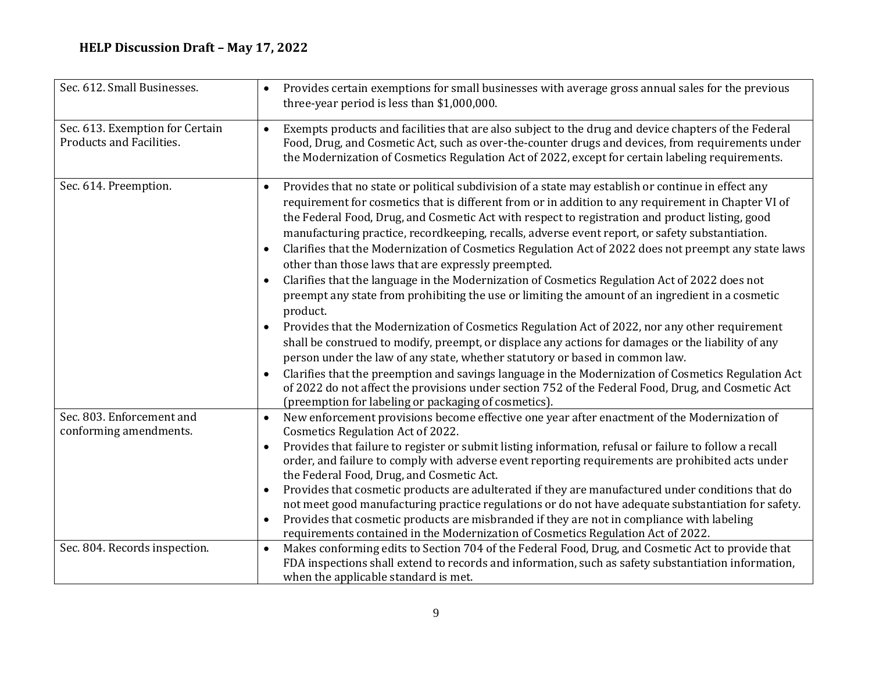| Sec. 612. Small Businesses.                                 | Provides certain exemptions for small businesses with average gross annual sales for the previous<br>three-year period is less than \$1,000,000.                                                                                                                                                                                                                                                                                                                                                                                                                                                                                                                                                                                                                                                                                                                                                                                                                                                                                                                                                                                                                                                                                                                                                                                                                                                                 |
|-------------------------------------------------------------|------------------------------------------------------------------------------------------------------------------------------------------------------------------------------------------------------------------------------------------------------------------------------------------------------------------------------------------------------------------------------------------------------------------------------------------------------------------------------------------------------------------------------------------------------------------------------------------------------------------------------------------------------------------------------------------------------------------------------------------------------------------------------------------------------------------------------------------------------------------------------------------------------------------------------------------------------------------------------------------------------------------------------------------------------------------------------------------------------------------------------------------------------------------------------------------------------------------------------------------------------------------------------------------------------------------------------------------------------------------------------------------------------------------|
| Sec. 613. Exemption for Certain<br>Products and Facilities. | Exempts products and facilities that are also subject to the drug and device chapters of the Federal<br>$\bullet$<br>Food, Drug, and Cosmetic Act, such as over-the-counter drugs and devices, from requirements under<br>the Modernization of Cosmetics Regulation Act of 2022, except for certain labeling requirements.                                                                                                                                                                                                                                                                                                                                                                                                                                                                                                                                                                                                                                                                                                                                                                                                                                                                                                                                                                                                                                                                                       |
| Sec. 614. Preemption.                                       | Provides that no state or political subdivision of a state may establish or continue in effect any<br>$\bullet$<br>requirement for cosmetics that is different from or in addition to any requirement in Chapter VI of<br>the Federal Food, Drug, and Cosmetic Act with respect to registration and product listing, good<br>manufacturing practice, recordkeeping, recalls, adverse event report, or safety substantiation.<br>Clarifies that the Modernization of Cosmetics Regulation Act of 2022 does not preempt any state laws<br>other than those laws that are expressly preempted.<br>Clarifies that the language in the Modernization of Cosmetics Regulation Act of 2022 does not<br>$\bullet$<br>preempt any state from prohibiting the use or limiting the amount of an ingredient in a cosmetic<br>product.<br>Provides that the Modernization of Cosmetics Regulation Act of 2022, nor any other requirement<br>$\bullet$<br>shall be construed to modify, preempt, or displace any actions for damages or the liability of any<br>person under the law of any state, whether statutory or based in common law.<br>Clarifies that the preemption and savings language in the Modernization of Cosmetics Regulation Act<br>$\bullet$<br>of 2022 do not affect the provisions under section 752 of the Federal Food, Drug, and Cosmetic Act<br>(preemption for labeling or packaging of cosmetics). |
| Sec. 803. Enforcement and                                   | New enforcement provisions become effective one year after enactment of the Modernization of<br>$\bullet$                                                                                                                                                                                                                                                                                                                                                                                                                                                                                                                                                                                                                                                                                                                                                                                                                                                                                                                                                                                                                                                                                                                                                                                                                                                                                                        |
| conforming amendments.                                      | Cosmetics Regulation Act of 2022.<br>Provides that failure to register or submit listing information, refusal or failure to follow a recall<br>$\bullet$<br>order, and failure to comply with adverse event reporting requirements are prohibited acts under<br>the Federal Food, Drug, and Cosmetic Act.                                                                                                                                                                                                                                                                                                                                                                                                                                                                                                                                                                                                                                                                                                                                                                                                                                                                                                                                                                                                                                                                                                        |
|                                                             | Provides that cosmetic products are adulterated if they are manufactured under conditions that do<br>$\bullet$<br>not meet good manufacturing practice regulations or do not have adequate substantiation for safety.<br>Provides that cosmetic products are misbranded if they are not in compliance with labeling<br>requirements contained in the Modernization of Cosmetics Regulation Act of 2022.                                                                                                                                                                                                                                                                                                                                                                                                                                                                                                                                                                                                                                                                                                                                                                                                                                                                                                                                                                                                          |
| Sec. 804. Records inspection.                               | Makes conforming edits to Section 704 of the Federal Food, Drug, and Cosmetic Act to provide that<br>$\bullet$<br>FDA inspections shall extend to records and information, such as safety substantiation information,<br>when the applicable standard is met.                                                                                                                                                                                                                                                                                                                                                                                                                                                                                                                                                                                                                                                                                                                                                                                                                                                                                                                                                                                                                                                                                                                                                    |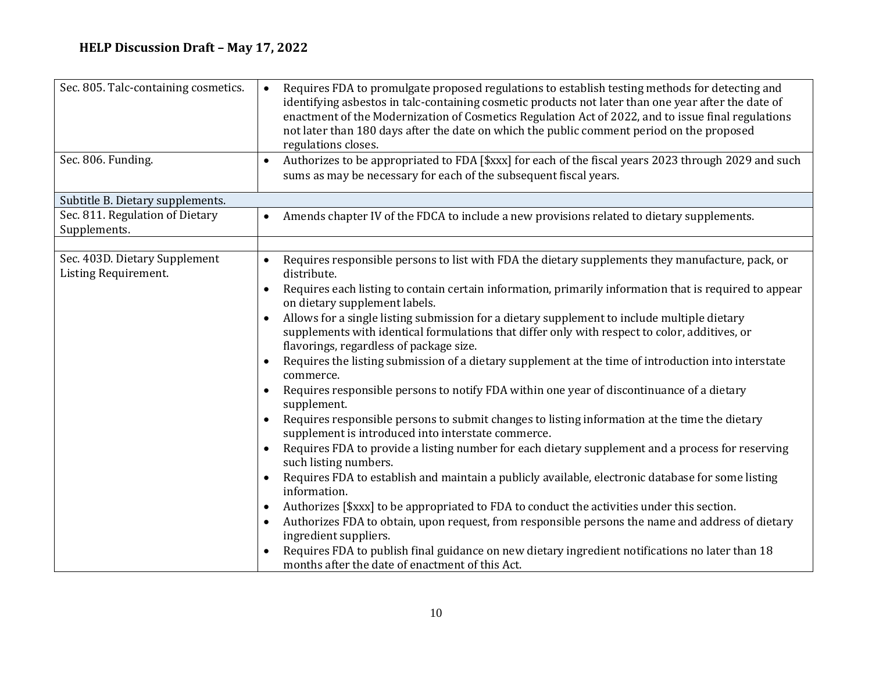| Sec. 805. Talc-containing cosmetics.<br>Sec. 806. Funding. | Requires FDA to promulgate proposed regulations to establish testing methods for detecting and<br>identifying asbestos in talc-containing cosmetic products not later than one year after the date of<br>enactment of the Modernization of Cosmetics Regulation Act of 2022, and to issue final regulations<br>not later than 180 days after the date on which the public comment period on the proposed<br>regulations closes.<br>Authorizes to be appropriated to FDA [\$xxx] for each of the fiscal years 2023 through 2029 and such<br>$\bullet$ |
|------------------------------------------------------------|------------------------------------------------------------------------------------------------------------------------------------------------------------------------------------------------------------------------------------------------------------------------------------------------------------------------------------------------------------------------------------------------------------------------------------------------------------------------------------------------------------------------------------------------------|
|                                                            | sums as may be necessary for each of the subsequent fiscal years.                                                                                                                                                                                                                                                                                                                                                                                                                                                                                    |
| Subtitle B. Dietary supplements.                           |                                                                                                                                                                                                                                                                                                                                                                                                                                                                                                                                                      |
| Sec. 811. Regulation of Dietary<br>Supplements.            | Amends chapter IV of the FDCA to include a new provisions related to dietary supplements.<br>$\bullet$                                                                                                                                                                                                                                                                                                                                                                                                                                               |
|                                                            |                                                                                                                                                                                                                                                                                                                                                                                                                                                                                                                                                      |
| Sec. 403D. Dietary Supplement<br>Listing Requirement.      | Requires responsible persons to list with FDA the dietary supplements they manufacture, pack, or<br>$\bullet$<br>distribute.                                                                                                                                                                                                                                                                                                                                                                                                                         |
|                                                            | Requires each listing to contain certain information, primarily information that is required to appear<br>$\bullet$<br>on dietary supplement labels.                                                                                                                                                                                                                                                                                                                                                                                                 |
|                                                            | Allows for a single listing submission for a dietary supplement to include multiple dietary<br>supplements with identical formulations that differ only with respect to color, additives, or<br>flavorings, regardless of package size.                                                                                                                                                                                                                                                                                                              |
|                                                            | Requires the listing submission of a dietary supplement at the time of introduction into interstate<br>commerce.                                                                                                                                                                                                                                                                                                                                                                                                                                     |
|                                                            | Requires responsible persons to notify FDA within one year of discontinuance of a dietary<br>supplement.                                                                                                                                                                                                                                                                                                                                                                                                                                             |
|                                                            | Requires responsible persons to submit changes to listing information at the time the dietary<br>$\bullet$<br>supplement is introduced into interstate commerce.                                                                                                                                                                                                                                                                                                                                                                                     |
|                                                            | Requires FDA to provide a listing number for each dietary supplement and a process for reserving<br>such listing numbers.                                                                                                                                                                                                                                                                                                                                                                                                                            |
|                                                            | Requires FDA to establish and maintain a publicly available, electronic database for some listing<br>information.                                                                                                                                                                                                                                                                                                                                                                                                                                    |
|                                                            | Authorizes [\$xxx] to be appropriated to FDA to conduct the activities under this section.                                                                                                                                                                                                                                                                                                                                                                                                                                                           |
|                                                            | Authorizes FDA to obtain, upon request, from responsible persons the name and address of dietary                                                                                                                                                                                                                                                                                                                                                                                                                                                     |
|                                                            | ingredient suppliers.                                                                                                                                                                                                                                                                                                                                                                                                                                                                                                                                |
|                                                            | Requires FDA to publish final guidance on new dietary ingredient notifications no later than 18<br>months after the date of enactment of this Act.                                                                                                                                                                                                                                                                                                                                                                                                   |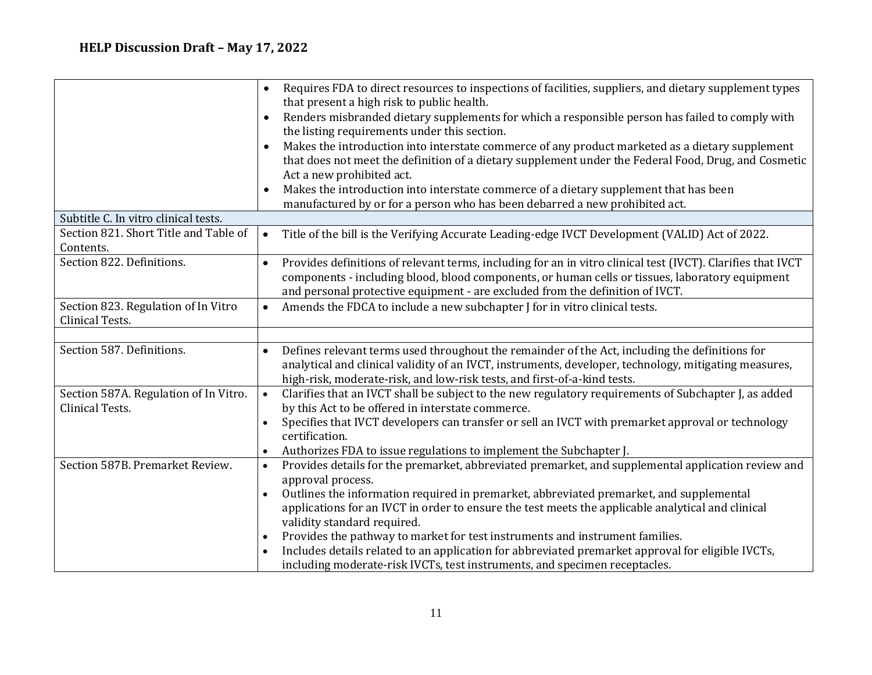|                                                          | Requires FDA to direct resources to inspections of facilities, suppliers, and dietary supplement types<br>that present a high risk to public health.<br>Renders misbranded dietary supplements for which a responsible person has failed to comply with<br>the listing requirements under this section.<br>Makes the introduction into interstate commerce of any product marketed as a dietary supplement<br>that does not meet the definition of a dietary supplement under the Federal Food, Drug, and Cosmetic<br>Act a new prohibited act.<br>Makes the introduction into interstate commerce of a dietary supplement that has been<br>manufactured by or for a person who has been debarred a new prohibited act. |
|----------------------------------------------------------|-------------------------------------------------------------------------------------------------------------------------------------------------------------------------------------------------------------------------------------------------------------------------------------------------------------------------------------------------------------------------------------------------------------------------------------------------------------------------------------------------------------------------------------------------------------------------------------------------------------------------------------------------------------------------------------------------------------------------|
| Subtitle C. In vitro clinical tests.                     |                                                                                                                                                                                                                                                                                                                                                                                                                                                                                                                                                                                                                                                                                                                         |
| Section 821. Short Title and Table of<br>Contents.       | Title of the bill is the Verifying Accurate Leading-edge IVCT Development (VALID) Act of 2022.<br>$\bullet$                                                                                                                                                                                                                                                                                                                                                                                                                                                                                                                                                                                                             |
| Section 822. Definitions.                                | Provides definitions of relevant terms, including for an in vitro clinical test (IVCT). Clarifies that IVCT<br>$\bullet$<br>components - including blood, blood components, or human cells or tissues, laboratory equipment<br>and personal protective equipment - are excluded from the definition of IVCT.                                                                                                                                                                                                                                                                                                                                                                                                            |
| Section 823. Regulation of In Vitro<br>Clinical Tests.   | Amends the FDCA to include a new subchapter J for in vitro clinical tests.<br>$\bullet$                                                                                                                                                                                                                                                                                                                                                                                                                                                                                                                                                                                                                                 |
|                                                          |                                                                                                                                                                                                                                                                                                                                                                                                                                                                                                                                                                                                                                                                                                                         |
| Section 587. Definitions.                                | Defines relevant terms used throughout the remainder of the Act, including the definitions for<br>analytical and clinical validity of an IVCT, instruments, developer, technology, mitigating measures,<br>high-risk, moderate-risk, and low-risk tests, and first-of-a-kind tests.                                                                                                                                                                                                                                                                                                                                                                                                                                     |
| Section 587A. Regulation of In Vitro.<br>Clinical Tests. | Clarifies that an IVCT shall be subject to the new regulatory requirements of Subchapter J, as added<br>$\bullet$<br>by this Act to be offered in interstate commerce.                                                                                                                                                                                                                                                                                                                                                                                                                                                                                                                                                  |
|                                                          | Specifies that IVCT developers can transfer or sell an IVCT with premarket approval or technology<br>certification.<br>Authorizes FDA to issue regulations to implement the Subchapter J.                                                                                                                                                                                                                                                                                                                                                                                                                                                                                                                               |
| Section 587B. Premarket Review.                          | Provides details for the premarket, abbreviated premarket, and supplemental application review and<br>$\bullet$<br>approval process.<br>Outlines the information required in premarket, abbreviated premarket, and supplemental                                                                                                                                                                                                                                                                                                                                                                                                                                                                                         |
|                                                          | applications for an IVCT in order to ensure the test meets the applicable analytical and clinical<br>validity standard required.<br>Provides the pathway to market for test instruments and instrument families.<br>$\bullet$<br>Includes details related to an application for abbreviated premarket approval for eligible IVCTs,<br>including moderate-risk IVCTs, test instruments, and specimen receptacles.                                                                                                                                                                                                                                                                                                        |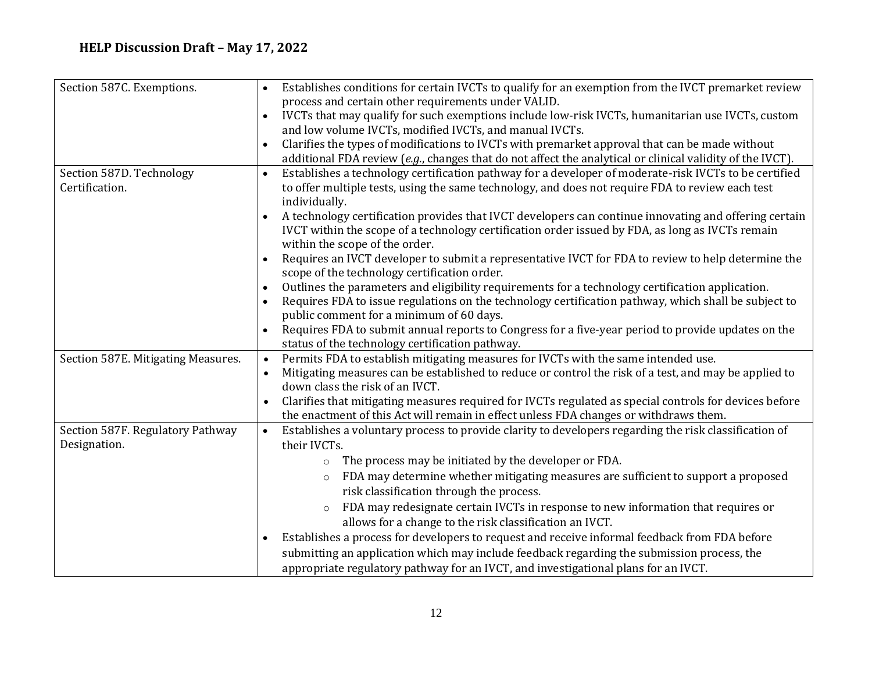| Section 587C. Exemptions.          | Establishes conditions for certain IVCTs to qualify for an exemption from the IVCT premarket review                 |  |
|------------------------------------|---------------------------------------------------------------------------------------------------------------------|--|
|                                    | process and certain other requirements under VALID.                                                                 |  |
|                                    | IVCTs that may qualify for such exemptions include low-risk IVCTs, humanitarian use IVCTs, custom<br>$\bullet$      |  |
|                                    | and low volume IVCTs, modified IVCTs, and manual IVCTs.                                                             |  |
|                                    | Clarifies the types of modifications to IVCTs with premarket approval that can be made without                      |  |
|                                    | additional FDA review $(e.g.,$ changes that do not affect the analytical or clinical validity of the IVCT).         |  |
| Section 587D. Technology           | Establishes a technology certification pathway for a developer of moderate-risk IVCTs to be certified<br>$\bullet$  |  |
| Certification.                     | to offer multiple tests, using the same technology, and does not require FDA to review each test                    |  |
|                                    | individually.                                                                                                       |  |
|                                    | A technology certification provides that IVCT developers can continue innovating and offering certain               |  |
|                                    | IVCT within the scope of a technology certification order issued by FDA, as long as IVCTs remain                    |  |
|                                    | within the scope of the order.                                                                                      |  |
|                                    | Requires an IVCT developer to submit a representative IVCT for FDA to review to help determine the                  |  |
|                                    | scope of the technology certification order.                                                                        |  |
|                                    | Outlines the parameters and eligibility requirements for a technology certification application.                    |  |
|                                    | Requires FDA to issue regulations on the technology certification pathway, which shall be subject to                |  |
|                                    | public comment for a minimum of 60 days.                                                                            |  |
|                                    | Requires FDA to submit annual reports to Congress for a five-year period to provide updates on the                  |  |
|                                    | status of the technology certification pathway.                                                                     |  |
| Section 587E. Mitigating Measures. | Permits FDA to establish mitigating measures for IVCTs with the same intended use.<br>$\bullet$                     |  |
|                                    | Mitigating measures can be established to reduce or control the risk of a test, and may be applied to<br>$\bullet$  |  |
|                                    | down class the risk of an IVCT.                                                                                     |  |
|                                    | Clarifies that mitigating measures required for IVCTs regulated as special controls for devices before<br>$\bullet$ |  |
|                                    | the enactment of this Act will remain in effect unless FDA changes or withdraws them.                               |  |
| Section 587F. Regulatory Pathway   | Establishes a voluntary process to provide clarity to developers regarding the risk classification of<br>$\bullet$  |  |
| Designation.                       | their IVCTs.                                                                                                        |  |
|                                    | The process may be initiated by the developer or FDA.<br>$\circ$                                                    |  |
|                                    | FDA may determine whether mitigating measures are sufficient to support a proposed<br>$\circ$                       |  |
|                                    | risk classification through the process.                                                                            |  |
|                                    | FDA may redesignate certain IVCTs in response to new information that requires or<br>$\circ$                        |  |
|                                    | allows for a change to the risk classification an IVCT.                                                             |  |
|                                    | Establishes a process for developers to request and receive informal feedback from FDA before                       |  |
|                                    | submitting an application which may include feedback regarding the submission process, the                          |  |
|                                    |                                                                                                                     |  |
|                                    | appropriate regulatory pathway for an IVCT, and investigational plans for an IVCT.                                  |  |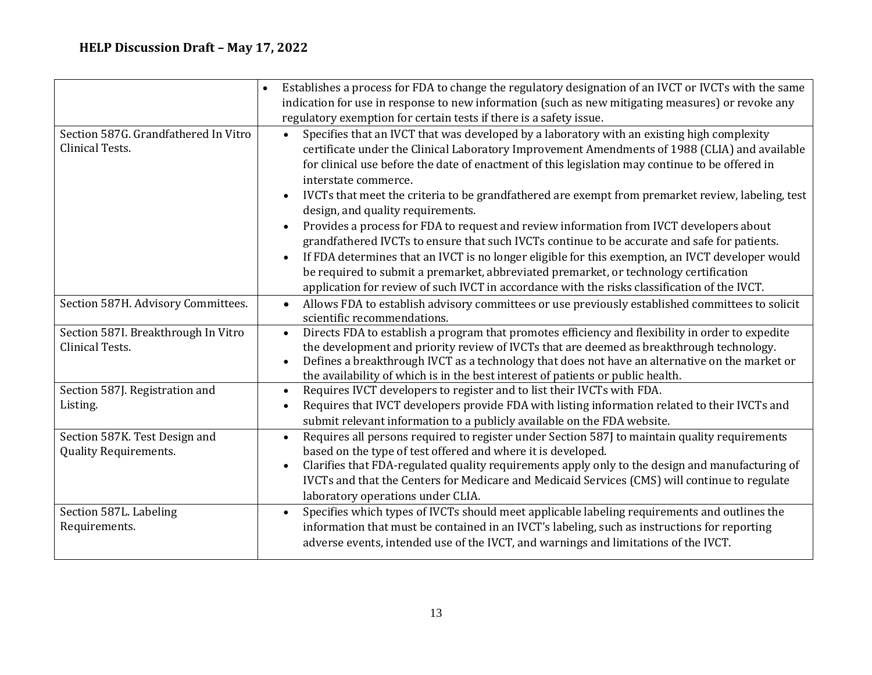|                                      |           | Establishes a process for FDA to change the regulatory designation of an IVCT or IVCTs with the same |
|--------------------------------------|-----------|------------------------------------------------------------------------------------------------------|
|                                      |           | indication for use in response to new information (such as new mitigating measures) or revoke any    |
|                                      |           | regulatory exemption for certain tests if there is a safety issue.                                   |
| Section 587G. Grandfathered In Vitro | $\bullet$ | Specifies that an IVCT that was developed by a laboratory with an existing high complexity           |
| Clinical Tests.                      |           | certificate under the Clinical Laboratory Improvement Amendments of 1988 (CLIA) and available        |
|                                      |           | for clinical use before the date of enactment of this legislation may continue to be offered in      |
|                                      |           | interstate commerce.                                                                                 |
|                                      |           | IVCTs that meet the criteria to be grandfathered are exempt from premarket review, labeling, test    |
|                                      |           | design, and quality requirements.                                                                    |
|                                      |           | Provides a process for FDA to request and review information from IVCT developers about              |
|                                      |           | grandfathered IVCTs to ensure that such IVCTs continue to be accurate and safe for patients.         |
|                                      |           | If FDA determines that an IVCT is no longer eligible for this exemption, an IVCT developer would     |
|                                      |           | be required to submit a premarket, abbreviated premarket, or technology certification                |
|                                      |           | application for review of such IVCT in accordance with the risks classification of the IVCT.         |
| Section 587H. Advisory Committees.   | $\bullet$ | Allows FDA to establish advisory committees or use previously established committees to solicit      |
|                                      |           | scientific recommendations.                                                                          |
| Section 587I. Breakthrough In Vitro  | $\bullet$ | Directs FDA to establish a program that promotes efficiency and flexibility in order to expedite     |
| Clinical Tests.                      |           | the development and priority review of IVCTs that are deemed as breakthrough technology.             |
|                                      |           | Defines a breakthrough IVCT as a technology that does not have an alternative on the market or       |
|                                      |           | the availability of which is in the best interest of patients or public health.                      |
| Section 587J. Registration and       | $\bullet$ | Requires IVCT developers to register and to list their IVCTs with FDA.                               |
| Listing.                             |           | Requires that IVCT developers provide FDA with listing information related to their IVCTs and        |
|                                      |           | submit relevant information to a publicly available on the FDA website.                              |
| Section 587K. Test Design and        |           | Requires all persons required to register under Section 587J to maintain quality requirements        |
| <b>Quality Requirements.</b>         |           | based on the type of test offered and where it is developed.                                         |
|                                      |           | Clarifies that FDA-regulated quality requirements apply only to the design and manufacturing of      |
|                                      |           | IVCTs and that the Centers for Medicare and Medicaid Services (CMS) will continue to regulate        |
|                                      |           | laboratory operations under CLIA.                                                                    |
| Section 587L. Labeling               | $\bullet$ | Specifies which types of IVCTs should meet applicable labeling requirements and outlines the         |
| Requirements.                        |           | information that must be contained in an IVCT's labeling, such as instructions for reporting         |
|                                      |           | adverse events, intended use of the IVCT, and warnings and limitations of the IVCT.                  |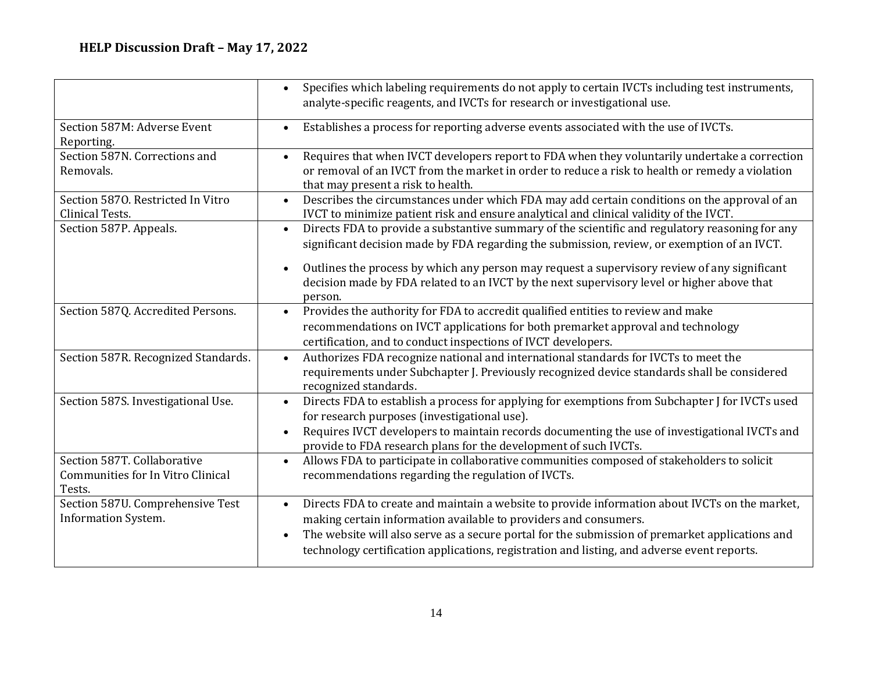|                                                                            | Specifies which labeling requirements do not apply to certain IVCTs including test instruments,<br>$\bullet$<br>analyte-specific reagents, and IVCTs for research or investigational use.                                                                                                                                                                                                      |
|----------------------------------------------------------------------------|------------------------------------------------------------------------------------------------------------------------------------------------------------------------------------------------------------------------------------------------------------------------------------------------------------------------------------------------------------------------------------------------|
|                                                                            |                                                                                                                                                                                                                                                                                                                                                                                                |
| Section 587M: Adverse Event<br>Reporting.                                  | Establishes a process for reporting adverse events associated with the use of IVCTs.<br>$\bullet$                                                                                                                                                                                                                                                                                              |
| Section 587N. Corrections and<br>Removals.                                 | Requires that when IVCT developers report to FDA when they voluntarily undertake a correction<br>or removal of an IVCT from the market in order to reduce a risk to health or remedy a violation<br>that may present a risk to health.                                                                                                                                                         |
| Section 5870. Restricted In Vitro<br><b>Clinical Tests.</b>                | Describes the circumstances under which FDA may add certain conditions on the approval of an<br>$\bullet$<br>IVCT to minimize patient risk and ensure analytical and clinical validity of the IVCT.                                                                                                                                                                                            |
| Section 587P. Appeals.                                                     | Directs FDA to provide a substantive summary of the scientific and regulatory reasoning for any<br>$\bullet$<br>significant decision made by FDA regarding the submission, review, or exemption of an IVCT.                                                                                                                                                                                    |
|                                                                            | Outlines the process by which any person may request a supervisory review of any significant<br>$\bullet$<br>decision made by FDA related to an IVCT by the next supervisory level or higher above that<br>person.                                                                                                                                                                             |
| Section 587Q. Accredited Persons.                                          | Provides the authority for FDA to accredit qualified entities to review and make<br>$\bullet$<br>recommendations on IVCT applications for both premarket approval and technology<br>certification, and to conduct inspections of IVCT developers.                                                                                                                                              |
| Section 587R. Recognized Standards.                                        | Authorizes FDA recognize national and international standards for IVCTs to meet the<br>$\bullet$<br>requirements under Subchapter J. Previously recognized device standards shall be considered<br>recognized standards.                                                                                                                                                                       |
| Section 587S. Investigational Use.                                         | Directs FDA to establish a process for applying for exemptions from Subchapter J for IVCTs used<br>$\bullet$<br>for research purposes (investigational use).                                                                                                                                                                                                                                   |
|                                                                            | Requires IVCT developers to maintain records documenting the use of investigational IVCTs and<br>provide to FDA research plans for the development of such IVCTs.                                                                                                                                                                                                                              |
| Section 587T. Collaborative<br>Communities for In Vitro Clinical<br>Tests. | Allows FDA to participate in collaborative communities composed of stakeholders to solicit<br>$\bullet$<br>recommendations regarding the regulation of IVCTs.                                                                                                                                                                                                                                  |
| Section 587U. Comprehensive Test<br><b>Information System.</b>             | Directs FDA to create and maintain a website to provide information about IVCTs on the market,<br>$\bullet$<br>making certain information available to providers and consumers.<br>The website will also serve as a secure portal for the submission of premarket applications and<br>$\bullet$<br>technology certification applications, registration and listing, and adverse event reports. |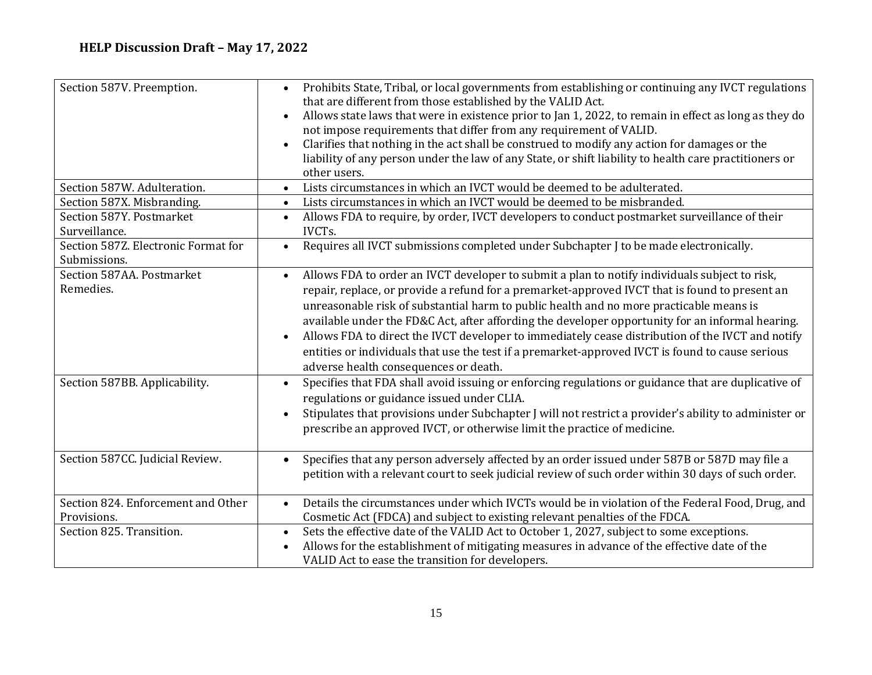| Section 587V. Preemption.                           | Prohibits State, Tribal, or local governments from establishing or continuing any IVCT regulations<br>that are different from those established by the VALID Act.<br>Allows state laws that were in existence prior to Jan 1, 2022, to remain in effect as long as they do<br>not impose requirements that differ from any requirement of VALID.<br>Clarifies that nothing in the act shall be construed to modify any action for damages or the<br>liability of any person under the law of any State, or shift liability to health care practitioners or<br>other users.                                                                                   |
|-----------------------------------------------------|--------------------------------------------------------------------------------------------------------------------------------------------------------------------------------------------------------------------------------------------------------------------------------------------------------------------------------------------------------------------------------------------------------------------------------------------------------------------------------------------------------------------------------------------------------------------------------------------------------------------------------------------------------------|
| Section 587W. Adulteration.                         | Lists circumstances in which an IVCT would be deemed to be adulterated.                                                                                                                                                                                                                                                                                                                                                                                                                                                                                                                                                                                      |
| Section 587X. Misbranding.                          | Lists circumstances in which an IVCT would be deemed to be misbranded.<br>$\bullet$                                                                                                                                                                                                                                                                                                                                                                                                                                                                                                                                                                          |
| Section 587Y. Postmarket<br>Surveillance.           | Allows FDA to require, by order, IVCT developers to conduct postmarket surveillance of their<br>$\bullet$<br><b>IVCTs.</b>                                                                                                                                                                                                                                                                                                                                                                                                                                                                                                                                   |
| Section 587Z. Electronic Format for<br>Submissions. | Requires all IVCT submissions completed under Subchapter J to be made electronically.<br>$\bullet$                                                                                                                                                                                                                                                                                                                                                                                                                                                                                                                                                           |
| Section 587AA. Postmarket<br>Remedies.              | Allows FDA to order an IVCT developer to submit a plan to notify individuals subject to risk,<br>$\bullet$<br>repair, replace, or provide a refund for a premarket-approved IVCT that is found to present an<br>unreasonable risk of substantial harm to public health and no more practicable means is<br>available under the FD&C Act, after affording the developer opportunity for an informal hearing.<br>Allows FDA to direct the IVCT developer to immediately cease distribution of the IVCT and notify<br>entities or individuals that use the test if a premarket-approved IVCT is found to cause serious<br>adverse health consequences or death. |
| Section 587BB. Applicability.                       | Specifies that FDA shall avoid issuing or enforcing regulations or guidance that are duplicative of<br>$\bullet$<br>regulations or guidance issued under CLIA.<br>Stipulates that provisions under Subchapter J will not restrict a provider's ability to administer or<br>prescribe an approved IVCT, or otherwise limit the practice of medicine.                                                                                                                                                                                                                                                                                                          |
| Section 587CC. Judicial Review.                     | Specifies that any person adversely affected by an order issued under 587B or 587D may file a<br>$\bullet$<br>petition with a relevant court to seek judicial review of such order within 30 days of such order.                                                                                                                                                                                                                                                                                                                                                                                                                                             |
| Section 824. Enforcement and Other<br>Provisions.   | Details the circumstances under which IVCTs would be in violation of the Federal Food, Drug, and<br>$\bullet$<br>Cosmetic Act (FDCA) and subject to existing relevant penalties of the FDCA.                                                                                                                                                                                                                                                                                                                                                                                                                                                                 |
| Section 825. Transition.                            | Sets the effective date of the VALID Act to October 1, 2027, subject to some exceptions.<br>$\bullet$<br>Allows for the establishment of mitigating measures in advance of the effective date of the<br>VALID Act to ease the transition for developers.                                                                                                                                                                                                                                                                                                                                                                                                     |